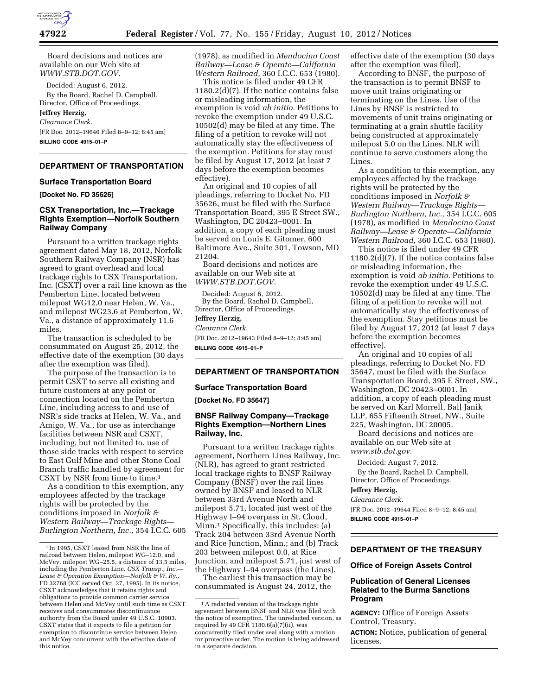

Board decisions and notices are available on our Web site at *[WWW.STB.DOT.GOV.](http://WWW.STB.DOT.GOV)* 

Decided: August 6, 2012. By the Board, Rachel D. Campbell, Director, Office of Proceedings.

**Jeffrey Herzig,** 

#### *Clearance Clerk.*

[FR Doc. 2012–19646 Filed 8–9–12; 8:45 am] **BILLING CODE 4915–01–P** 

# **DEPARTMENT OF TRANSPORTATION**

#### **Surface Transportation Board**

**[Docket No. FD 35626]** 

### **CSX Transportation, Inc.—Trackage Rights Exemption—Norfolk Southern Railway Company**

Pursuant to a written trackage rights agreement dated May 18, 2012, Norfolk Southern Railway Company (NSR) has agreed to grant overhead and local trackage rights to CSX Transportation, Inc. (CSXT) over a rail line known as the Pemberton Line, located between milepost WG12.0 near Helen, W. Va., and milepost WG23.6 at Pemberton, W. Va., a distance of approximately 11.6 miles.

The transaction is scheduled to be consummated on August 25, 2012, the effective date of the exemption (30 days after the exemption was filed).

The purpose of the transaction is to permit CSXT to serve all existing and future customers at any point or connection located on the Pemberton Line, including access to and use of NSR's side tracks at Helen, W. Va., and Amigo, W. Va., for use as interchange facilities between NSR and CSXT, including, but not limited to, use of those side tracks with respect to service to East Gulf Mine and other Stone Coal Branch traffic handled by agreement for CSXT by NSR from time to time.1

As a condition to this exemption, any employees affected by the trackage rights will be protected by the conditions imposed in *Norfolk & Western Railway—Trackage Rights— Burlington Northern, Inc.,* 354 I.C.C. 605 (1978), as modified in *Mendocino Coast Railway—Lease & Operate—California Western Railroad,* 360 I.C.C. 653 (1980).

This notice is filed under 49 CFR 1180.2(d)(7). If the notice contains false or misleading information, the exemption is void *ab initio.* Petitions to revoke the exemption under 49 U.S.C. 10502(d) may be filed at any time. The filing of a petition to revoke will not automatically stay the effectiveness of the exemption. Petitions for stay must be filed by August 17, 2012 (at least 7 days before the exemption becomes effective).

An original and 10 copies of all pleadings, referring to Docket No. FD 35626, must be filed with the Surface Transportation Board, 395 E Street SW., Washington, DC 20423–0001. In addition, a copy of each pleading must be served on Louis E. Gitomer, 600 Baltimore Ave., Suite 301, Towson, MD 21204.

Board decisions and notices are available on our Web site at *[WWW.STB.DOT.GOV.](http://WWW.STB.DOT.GOV)* 

Decided: August 6, 2012. By the Board, Rachel D. Campbell, Director, Office of Proceedings.

#### **Jeffrey Herzig,**

#### *Clearance Clerk.*

[FR Doc. 2012–19643 Filed 8–9–12; 8:45 am] **BILLING CODE 4915–01–P** 

# **DEPARTMENT OF TRANSPORTATION**

#### **Surface Transportation Board**

**[Docket No. FD 35647]** 

#### **BNSF Railway Company—Trackage Rights Exemption—Northern Lines Railway, Inc.**

Pursuant to a written trackage rights agreement, Northern Lines Railway, Inc. (NLR), has agreed to grant restricted local trackage rights to BNSF Railway Company (BNSF) over the rail lines owned by BNSF and leased to NLR between 33rd Avenue North and milepost 5.71, located just west of the Highway I–94 overpass in St. Cloud, Minn.1 Specifically, this includes: (a) Track 204 between 33rd Avenue North and Rice Junction, Minn.; and (b) Track 203 between milepost 0.0, at Rice Junction, and milepost 5.71, just west of the Highway I–94 overpass (the Lines).

The earliest this transaction may be consummated is August 24, 2012, the effective date of the exemption (30 days after the exemption was filed).

According to BNSF, the purpose of the transaction is to permit BNSF to move unit trains originating or terminating on the Lines. Use of the Lines by BNSF is restricted to movements of unit trains originating or terminating at a grain shuttle facility being constructed at approximately milepost 5.0 on the Lines. NLR will continue to serve customers along the Lines.

As a condition to this exemption, any employees affected by the trackage rights will be protected by the conditions imposed in *Norfolk & Western Railway—Trackage Rights— Burlington Northern, Inc.,* 354 I.C.C. 605 (1978), as modified in *Mendocino Coast Railway—Lease & Operate—California Western Railroad,* 360 I.C.C. 653 (1980).

This notice is filed under 49 CFR 1180.2(d)(7). If the notice contains false or misleading information, the exemption is void *ab initio.* Petitions to revoke the exemption under 49 U.S.C. 10502(d) may be filed at any time. The filing of a petition to revoke will not automatically stay the effectiveness of the exemption. Stay petitions must be filed by August 17, 2012 (at least 7 days before the exemption becomes effective).

An original and 10 copies of all pleadings, referring to Docket No. FD 35647, must be filed with the Surface Transportation Board, 395 E Street, SW., Washington, DC 20423–0001. In addition, a copy of each pleading must be served on Karl Morrell, Ball Janik LLP, 655 Fifteenth Street, NW., Suite 225, Washington, DC 20005.

Board decisions and notices are available on our Web site at *[www.stb.dot.gov.](http://www.stb.dot.gov)* 

Decided: August 7, 2012. By the Board, Rachel D. Campbell, Director, Office of Proceedings.

## **Jeffrey Herzig,**

*Clearance Clerk.*  [FR Doc. 2012–19644 Filed 8–9–12; 8:45 am]

**BILLING CODE 4915–01–P** 

# **DEPARTMENT OF THE TREASURY**

#### **Office of Foreign Assets Control**

#### **Publication of General Licenses Related to the Burma Sanctions Program**

**AGENCY:** Office of Foreign Assets Control, Treasury.

**ACTION:** Notice, publication of general licenses.

<sup>1</sup> In 1995, CSXT leased from NSR the line of railroad between Helen, milepost WG–12.0, and McVey, milepost WG–25.5, a distance of 13.5 miles, including the Pemberton Line. *CSX Transp., Inc.— Lease & Operation Exemption—Norfolk & W. Ry.,*  FD 32768 (ICC served Oct. 27, 1995). In its notice, CSXT acknowledges that it retains rights and obligations to provide common carrier service between Helen and McVey until such time as CSXT receives and consummates discontinuance authority from the Board under 49 U.S.C. 10903. CSXT states that it expects to file a petition for exemption to discontinue service between Helen and McVey concurrent with the effective date of this notice.

<sup>&</sup>lt;sup>1</sup> A redacted version of the trackage rights agreement between BNSF and NLR was filed with the notice of exemption. The unredacted version, as required by 49 CFR  $1180.6(a)(7)(ii)$ , was concurrently filed under seal along with a motion for protective order. The motion is being addressed in a separate decision.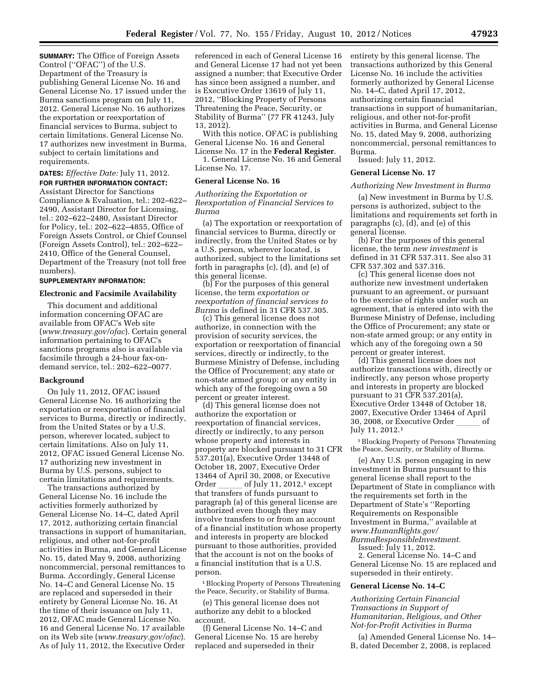**SUMMARY:** The Office of Foreign Assets Control (''OFAC'') of the U.S. Department of the Treasury is publishing General License No. 16 and General License No. 17 issued under the Burma sanctions program on July 11, 2012. General License No. 16 authorizes the exportation or reexportation of financial services to Burma, subject to certain limitations. General License No. 17 authorizes new investment in Burma, subject to certain limitations and requirements.

# **DATES:** *Effective Date:* July 11, 2012.

**FOR FURTHER INFORMATION CONTACT:**  Assistant Director for Sanctions Compliance & Evaluation, tel.: 202–622– 2490, Assistant Director for Licensing, tel.: 202–622–2480, Assistant Director for Policy, tel.: 202–622–4855, Office of Foreign Assets Control, or Chief Counsel (Foreign Assets Control), tel.: 202–622– 2410, Office of the General Counsel, Department of the Treasury (not toll free numbers).

#### **SUPPLEMENTARY INFORMATION:**

#### **Electronic and Facsimile Availability**

This document and additional information concerning OFAC are available from OFAC's Web site (*[www.treasury.gov/ofac](http://www.treasury.gov/ofac)*). Certain general information pertaining to OFAC's sanctions programs also is available via facsimile through a 24-hour fax-ondemand service, tel.: 202–622–0077.

#### **Background**

On July 11, 2012, OFAC issued General License No. 16 authorizing the exportation or reexportation of financial services to Burma, directly or indirectly, from the United States or by a U.S. person, wherever located, subject to certain limitations. Also on July 11, 2012, OFAC issued General License No. 17 authorizing new investment in Burma by U.S. persons, subject to certain limitations and requirements.

The transactions authorized by General License No. 16 include the activities formerly authorized by General License No. 14–C, dated April 17, 2012, authorizing certain financial transactions in support of humanitarian, religious, and other not-for-profit activities in Burma, and General License No. 15, dated May 9, 2008, authorizing noncommercial, personal remittances to Burma. Accordingly, General License No. 14–C and General License No. 15 are replaced and superseded in their entirety by General License No. 16. At the time of their issuance on July 11, 2012, OFAC made General License No. 16 and General License No. 17 available on its Web site (*[www.treasury.gov/ofac](http://www.treasury.gov/ofac)*). As of July 11, 2012, the Executive Order

referenced in each of General License 16 and General License 17 had not yet been assigned a number; that Executive Order has since been assigned a number, and is Executive Order 13619 of July 11, 2012, ''Blocking Property of Persons Threatening the Peace, Security, or Stability of Burma'' (77 FR 41243, July 13, 2012).

With this notice, OFAC is publishing General License No. 16 and General

License No. 17 in the **Federal Register**. 1. General License No. 16 and General License No. 17.

# **General License No. 16**

*Authorizing the Exportation or Reexportation of Financial Services to Burma* 

(a) The exportation or reexportation of financial services to Burma, directly or indirectly, from the United States or by a U.S. person, wherever located, is authorized, subject to the limitations set forth in paragraphs (c), (d), and (e) of this general license.

(b) For the purposes of this general license, the term *exportation or reexportation of financial services to Burma* is defined in 31 CFR 537.305.

(c) This general license does not authorize, in connection with the provision of security services, the exportation or reexportation of financial services, directly or indirectly, to the Burmese Ministry of Defense, including the Office of Procurement; any state or non-state armed group; or any entity in which any of the foregoing own a 50 percent or greater interest.

(d) This general license does not authorize the exportation or reexportation of financial services, directly or indirectly, to any person whose property and interests in property are blocked pursuant to 31 CFR 537.201(a), Executive Order 13448 of October 18, 2007, Executive Order 13464 of April 30, 2008, or Executive Order of July 11, 2012,<sup>1</sup> except that transfers of funds pursuant to paragraph (a) of this general license are authorized even though they may involve transfers to or from an account of a financial institution whose property and interests in property are blocked pursuant to those authorities, provided that the account is not on the books of a financial institution that is a U.S. person.

1Blocking Property of Persons Threatening the Peace, Security, or Stability of Burma.

(e) This general license does not authorize any debit to a blocked account.

(f) General License No. 14–C and General License No. 15 are hereby replaced and superseded in their

entirety by this general license. The transactions authorized by this General License No. 16 include the activities formerly authorized by General License No. 14–C, dated April 17, 2012, authorizing certain financial transactions in support of humanitarian, religious, and other not-for-profit activities in Burma, and General License No. 15, dated May 9, 2008, authorizing noncommercial, personal remittances to Burma.

Issued: July 11, 2012.

#### **General License No. 17**

#### *Authorizing New Investment in Burma*

(a) New investment in Burma by U.S. persons is authorized, subject to the limitations and requirements set forth in paragraphs (c), (d), and (e) of this general license.

(b) For the purposes of this general license, the term *new investment* is defined in 31 CFR 537.311. See also 31 CFR 537.302 and 537.316.

(c) This general license does not authorize new investment undertaken pursuant to an agreement, or pursuant to the exercise of rights under such an agreement, that is entered into with the Burmese Ministry of Defense, including the Office of Procurement; any state or non-state armed group; or any entity in which any of the foregoing own a 50 percent or greater interest.

(d) This general license does not authorize transactions with, directly or indirectly, any person whose property and interests in property are blocked pursuant to 31 CFR 537.201(a), Executive Order 13448 of October 18, 2007, Executive Order 13464 of April 30, 2008, or Executive Order of July 11, 2012.1

1Blocking Property of Persons Threatening the Peace, Security, or Stability of Burma.

(e) Any U.S. person engaging in new investment in Burma pursuant to this general license shall report to the Department of State in compliance with the requirements set forth in the Department of State's ''Reporting Requirements on Responsible Investment in Burma,'' available at *[www.HumanRights.gov/](http://www.HumanRights.gov/BurmaResponsibleInvestment) [BurmaResponsibleInvestment.](http://www.HumanRights.gov/BurmaResponsibleInvestment)* 

Issued: July 11, 2012. 2. General License No. 14–C and General License No. 15 are replaced and

# superseded in their entirety. **General License No. 14–C**

*Authorizing Certain Financial Transactions in Support of Humanitarian, Religious, and Other Not-for-Profit Activities in Burma* 

(a) Amended General License No. 14– B, dated December 2, 2008, is replaced